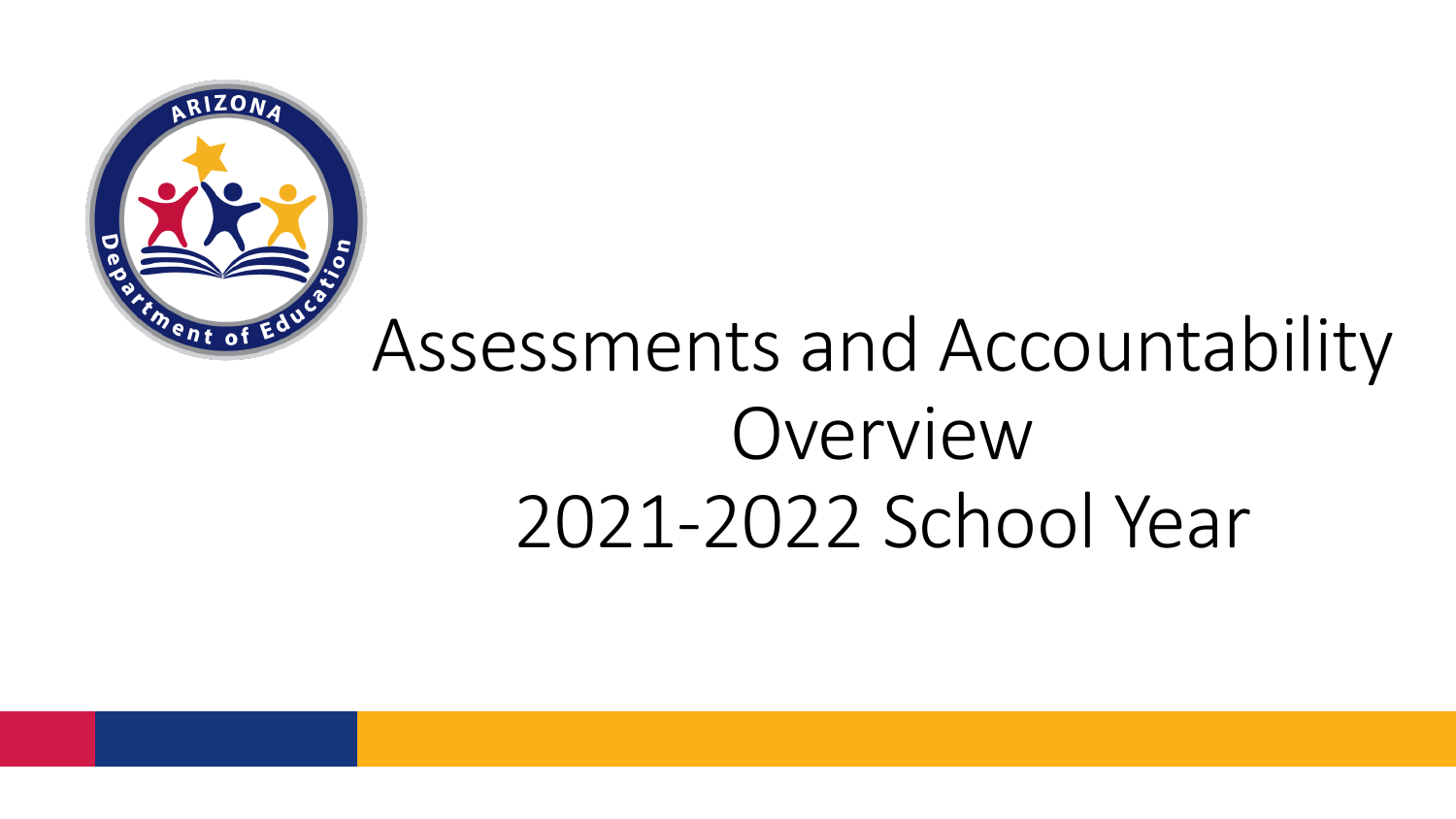

# Assessments and Accountability Overview 2021-2022 School Year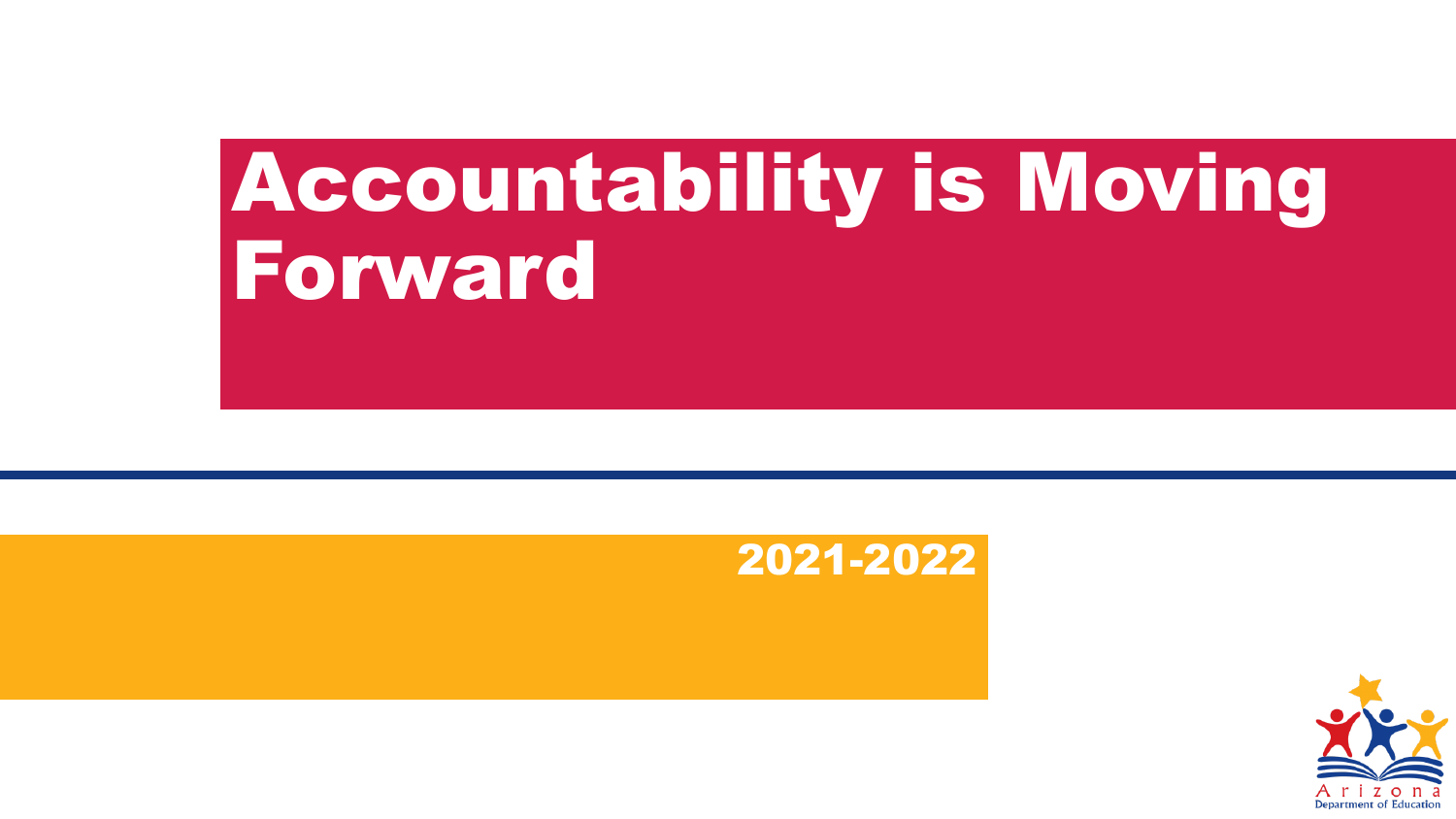# Accountability is Moving Forward



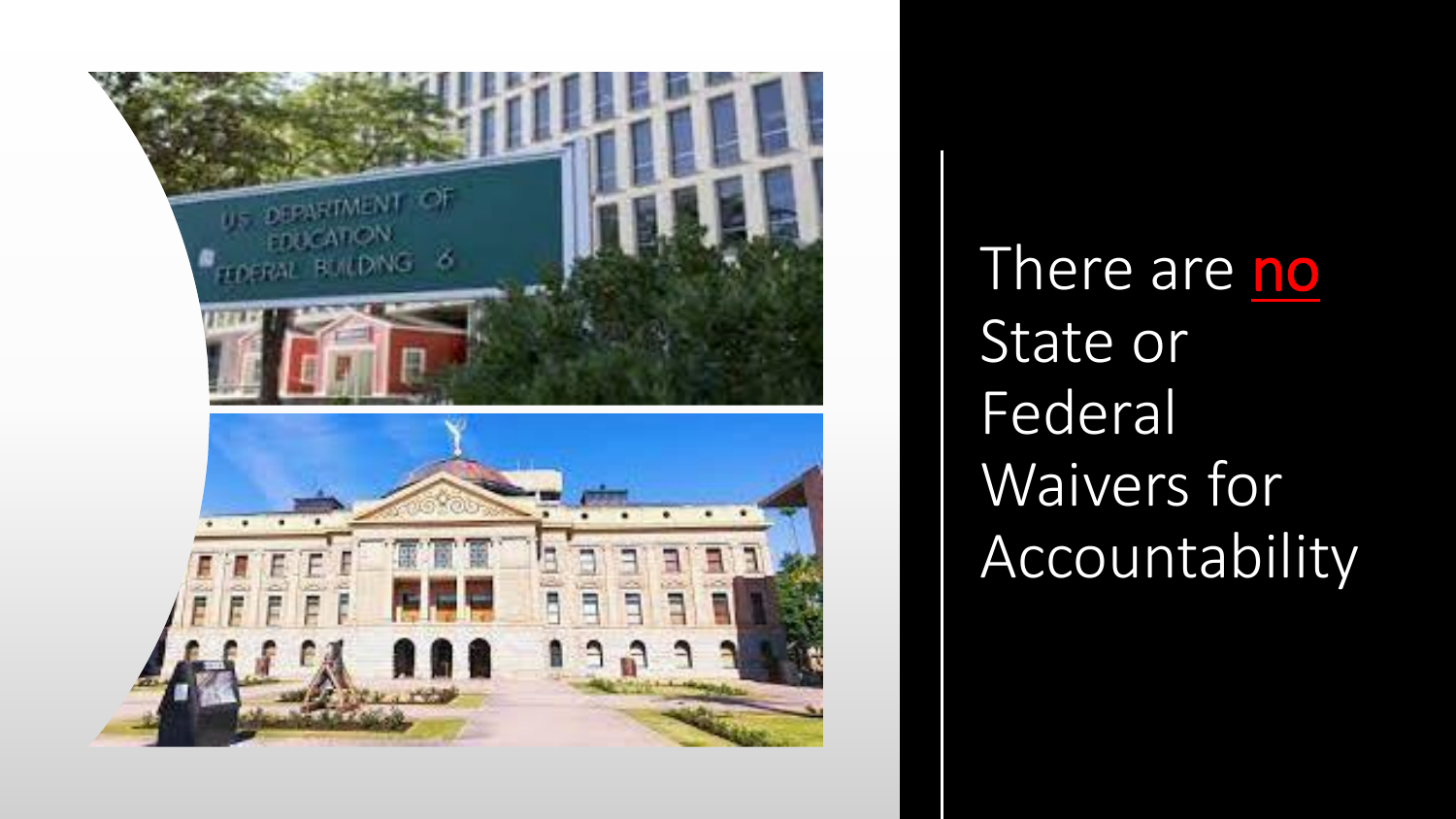

There are no State or Federal Waivers for **Accountability**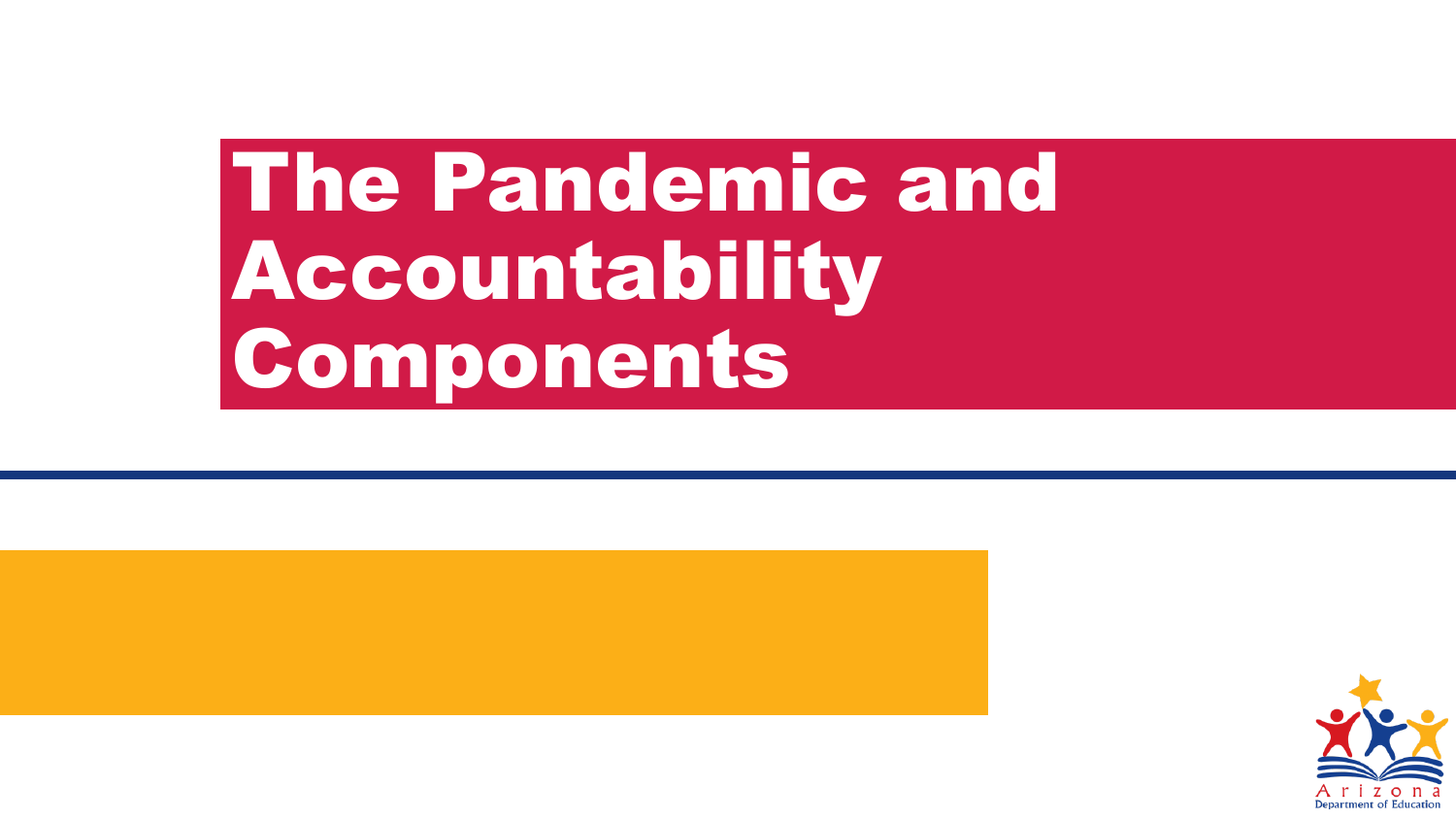# The Pandemic and Accountability Components



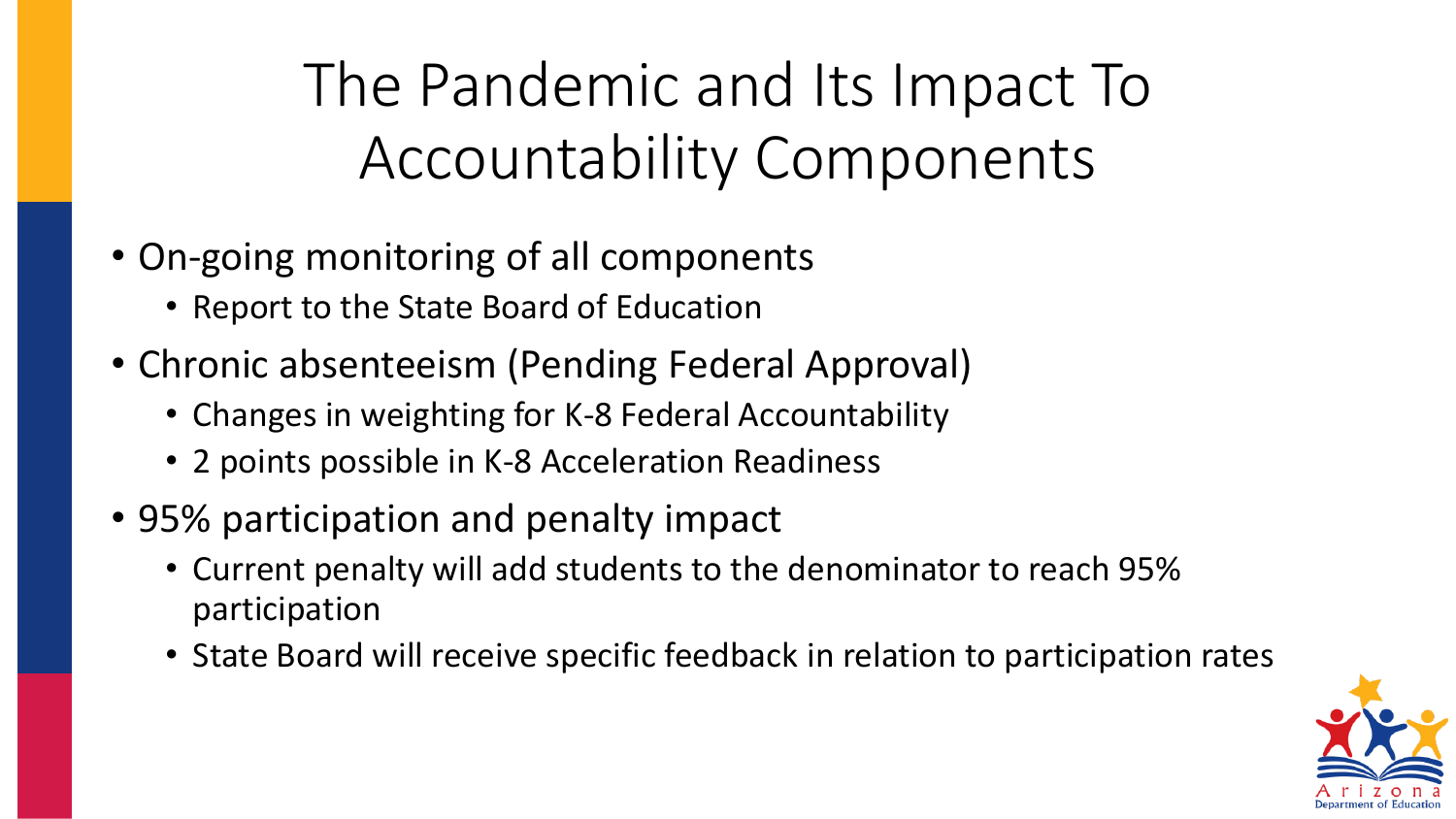The Pandemic and Its Impact To Accountability Components

- On-going monitoring of all components
	- Report to the State Board of Education
- Chronic absenteeism (Pending Federal Approval)
	- Changes in weighting for K-8 Federal Accountability
	- 2 points possible in K-8 Acceleration Readiness
- 95% participation and penalty impact
	- Current penalty will add students to the denominator to reach 95% participation
	- State Board will receive specific feedback in relation to participation rates

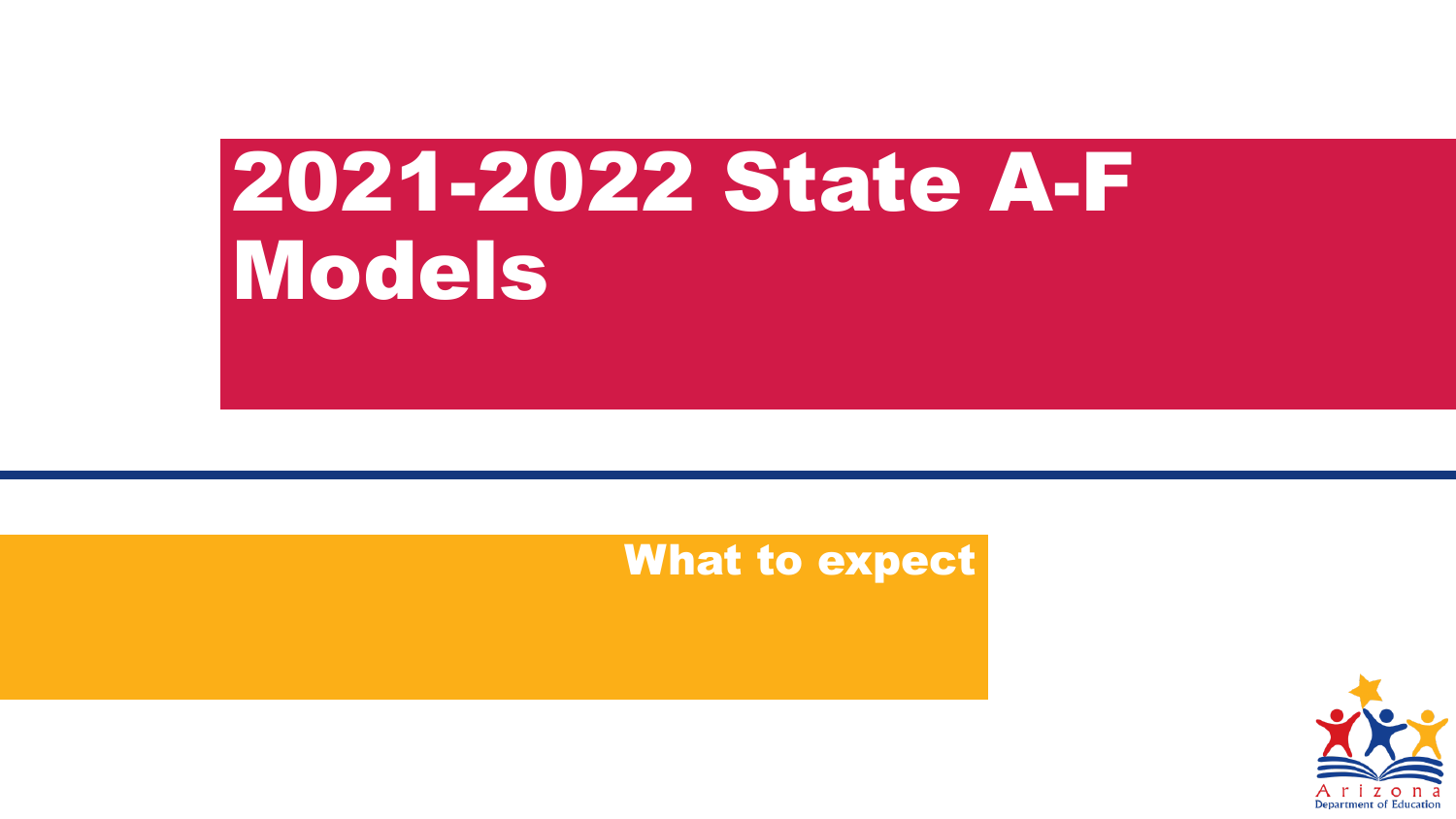# 2021-2022 State A-F Models

#### What to expect

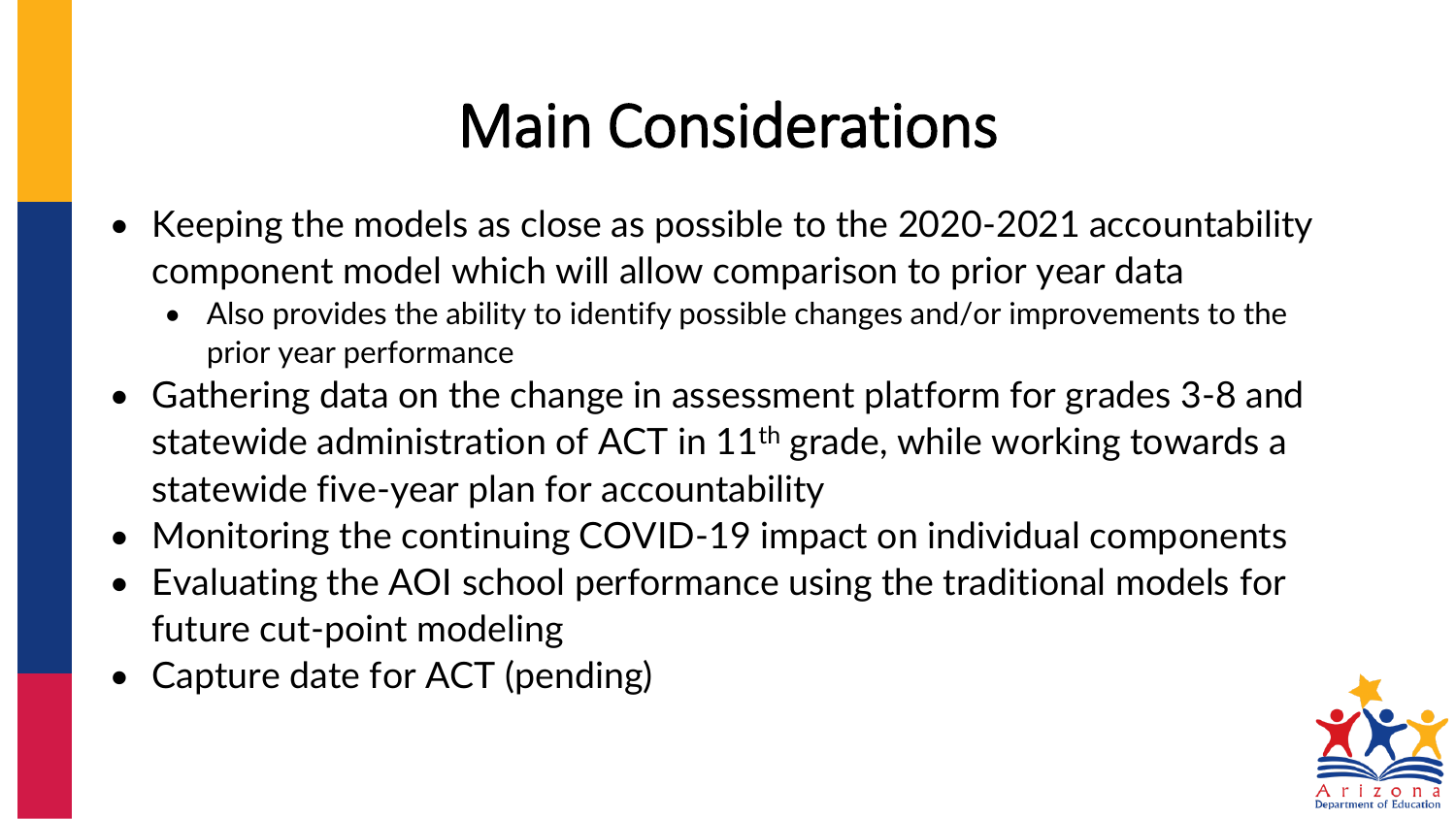## Main Considerations

- Keeping the models as close as possible to the 2020-2021 accountability component model which will allow comparison to prior year data
	- Also provides the ability to identify possible changes and/or improvements to the prior year performance
- Gathering data on the change in assessment platform for grades 3-8 and statewide administration of ACT in 11<sup>th</sup> grade, while working towards a statewide five-year plan for accountability
- Monitoring the continuing COVID-19 impact on individual components
- Evaluating the AOI school performance using the traditional models for future cut-point modeling
- Capture date for ACT (pending)

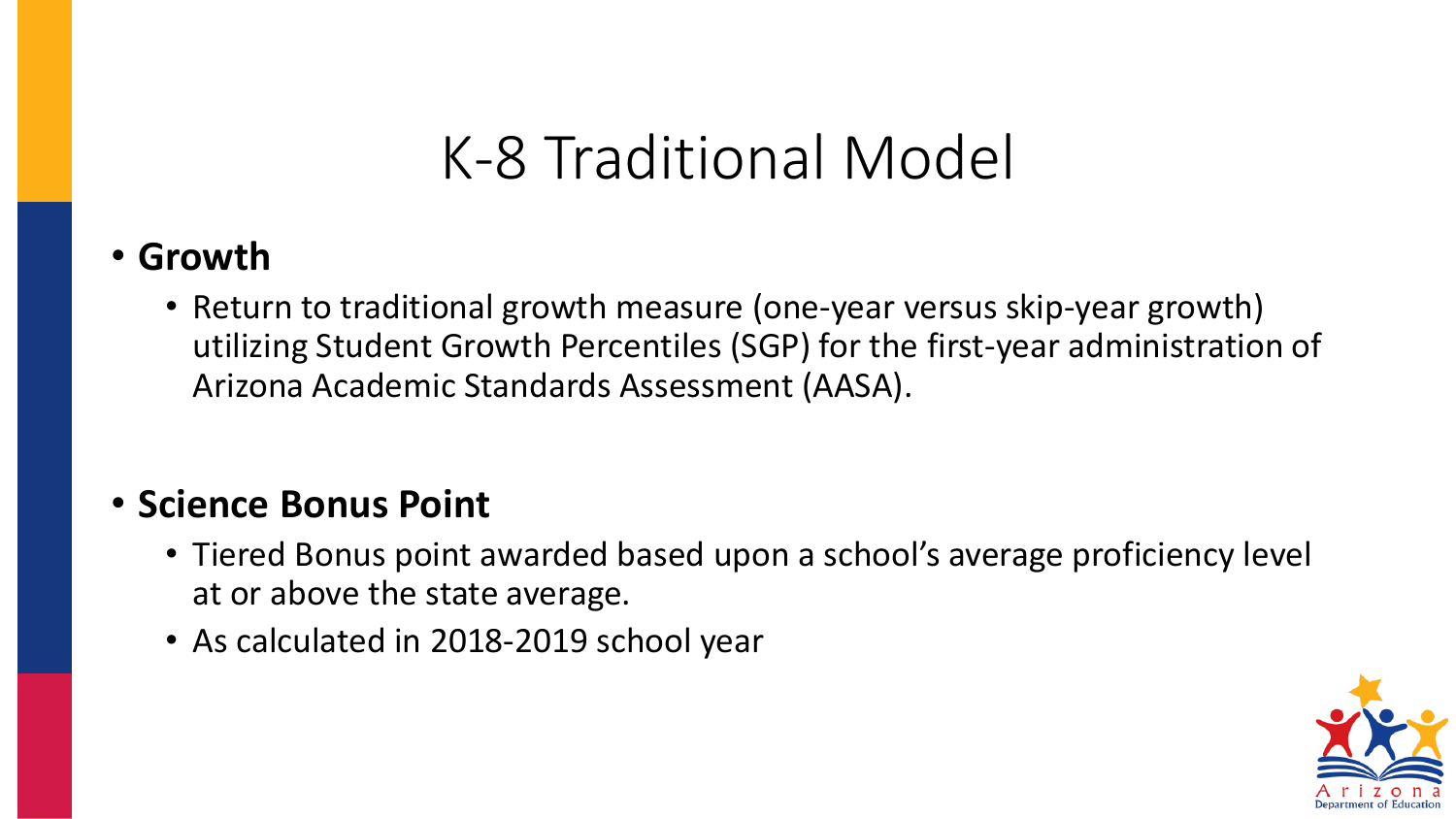## K-8 Traditional Model

#### • **Growth**

• Return to traditional growth measure (one-year versus skip-year growth) utilizing Student Growth Percentiles (SGP) for the first-year administration of Arizona Academic Standards Assessment (AASA).

#### • **Science Bonus Point**

- Tiered Bonus point awarded based upon a school's average proficiency level at or above the state average.
- As calculated in 2018-2019 school year

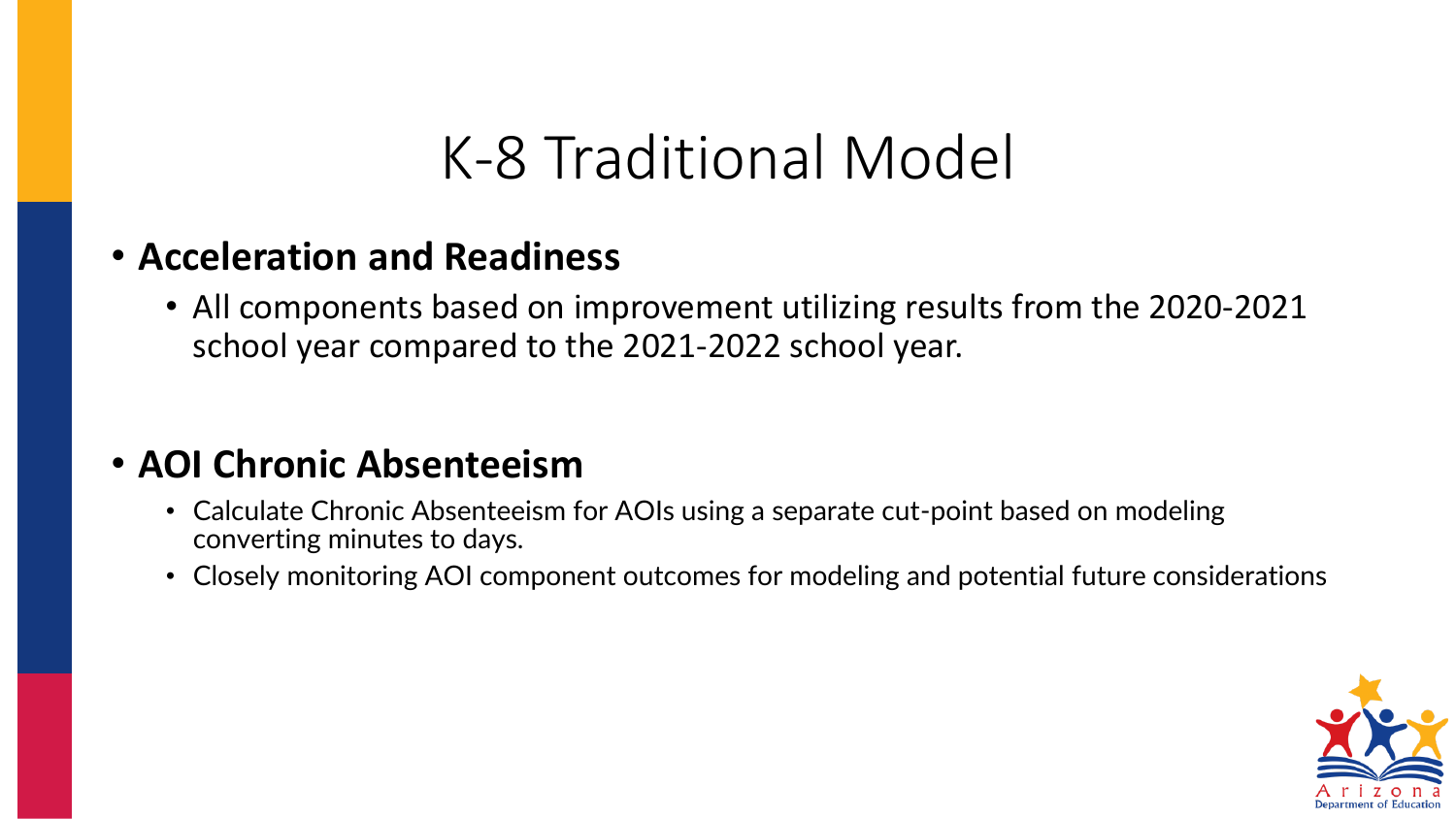## K-8 Traditional Model

#### • **Acceleration and Readiness**

• All components based on improvement utilizing results from the 2020-2021 school year compared to the 2021-2022 school year.

#### • **AOI Chronic Absenteeism**

- Calculate Chronic Absenteeism for AOIs using a separate cut-point based on modeling converting minutes to days.
- Closely monitoring AOI component outcomes for modeling and potential future considerations

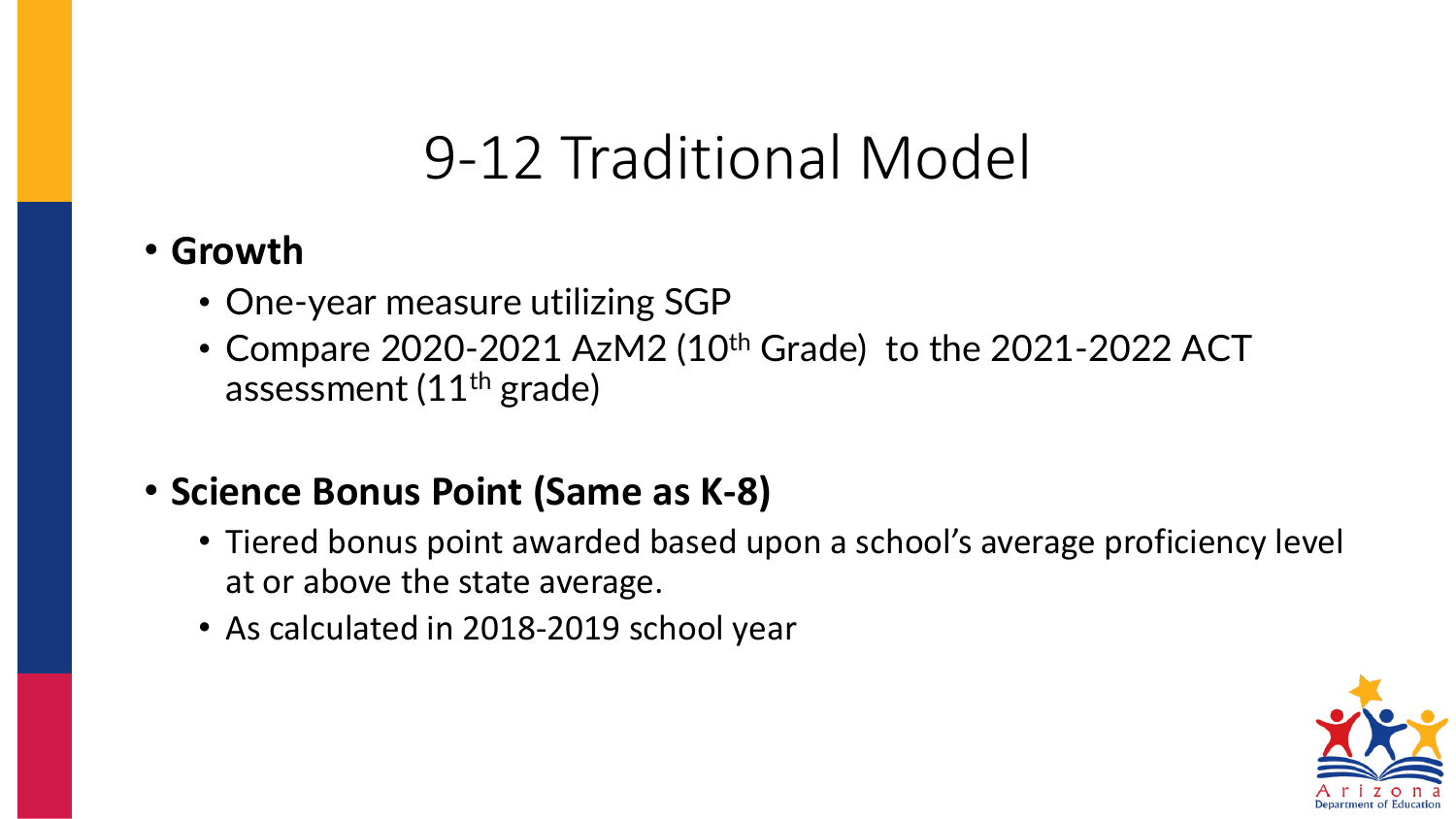## 9-12 Traditional Model

#### • **Growth**

- One-year measure utilizing SGP
- Compare 2020-2021 AzM2 (10<sup>th</sup> Grade) to the 2021-2022 ACT assessment (11th grade)

#### • **Science Bonus Point (Same as K-8)**

- Tiered bonus point awarded based upon a school's average proficiency level at or above the state average.
- As calculated in 2018-2019 school year

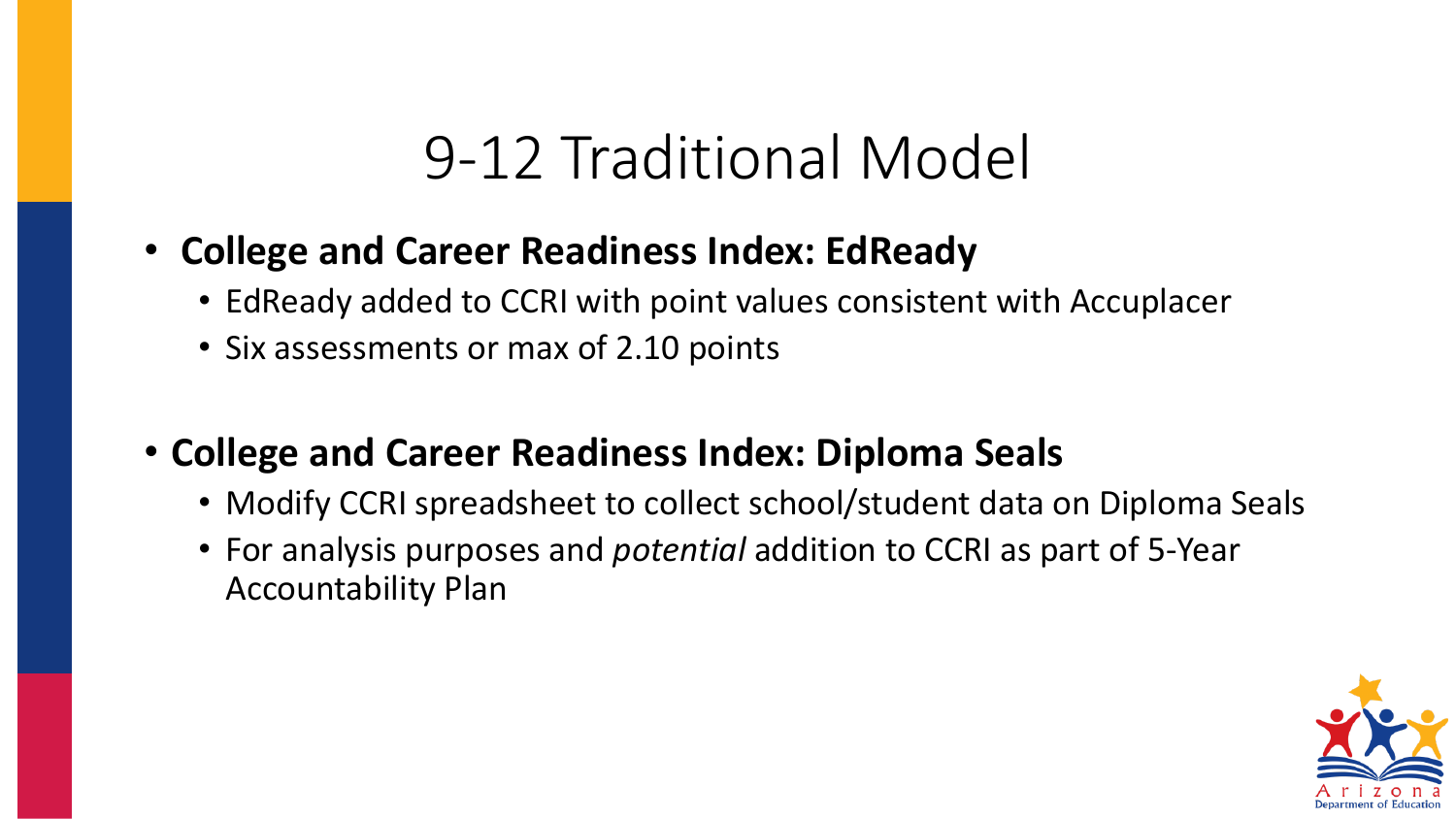### 9-12 Traditional Model

- **College and Career Readiness Index: EdReady**
	- EdReady added to CCRI with point values consistent with Accuplacer
	- Six assessments or max of 2.10 points
- **College and Career Readiness Index: Diploma Seals**
	- Modify CCRI spreadsheet to collect school/student data on Diploma Seals
	- For analysis purposes and *potential* addition to CCRI as part of 5-Year Accountability Plan

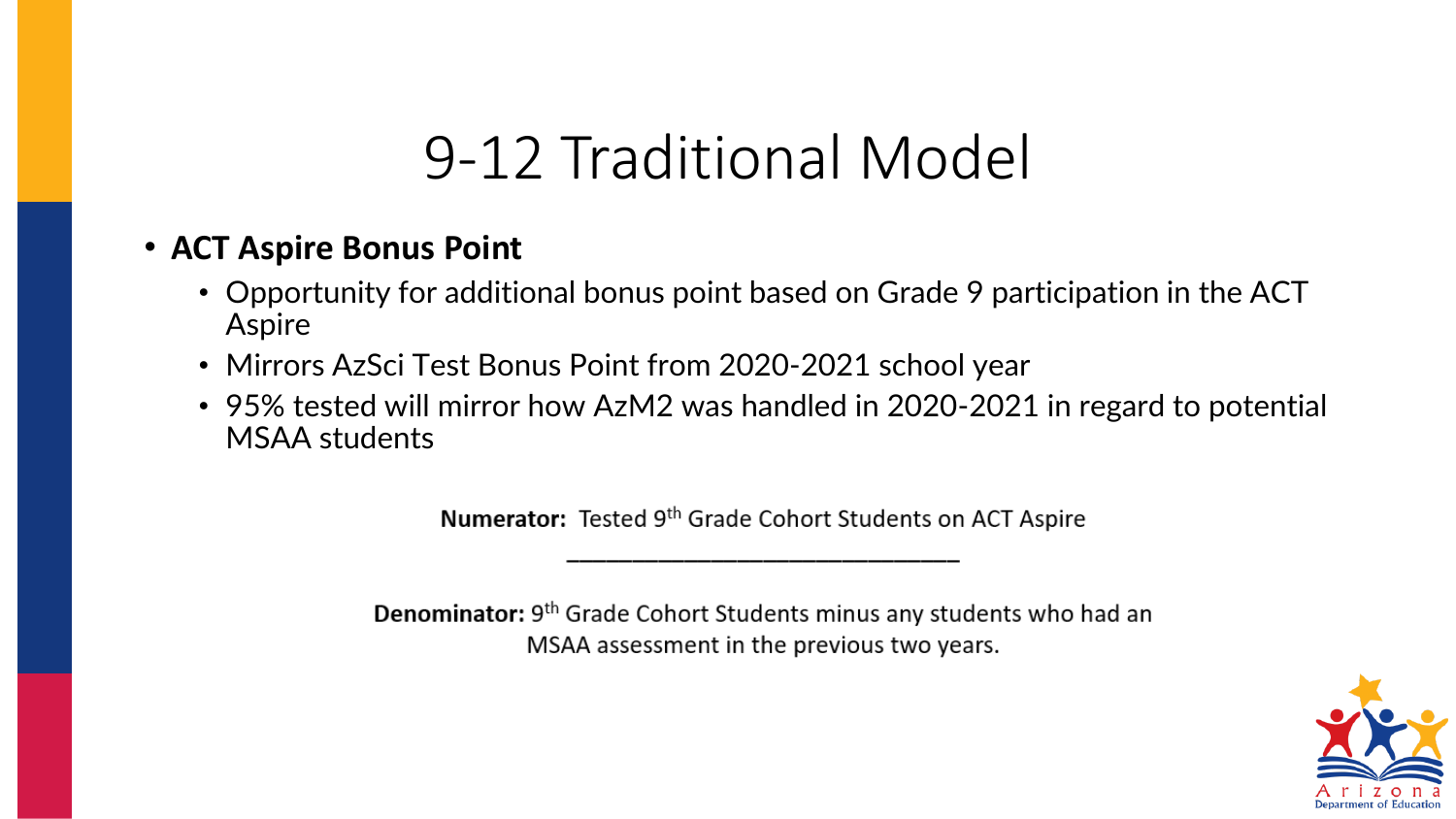## 9-12 Traditional Model

#### • **ACT Aspire Bonus Point**

- Opportunity for additional bonus point based on Grade 9 participation in the ACT Aspire
- Mirrors AzSci Test Bonus Point from 2020-2021 school year
- 95% tested will mirror how AzM2 was handled in 2020-2021 in regard to potential MSAA students

Numerator: Tested 9th Grade Cohort Students on ACT Aspire

**Denominator:** 9<sup>th</sup> Grade Cohort Students minus any students who had an MSAA assessment in the previous two years.

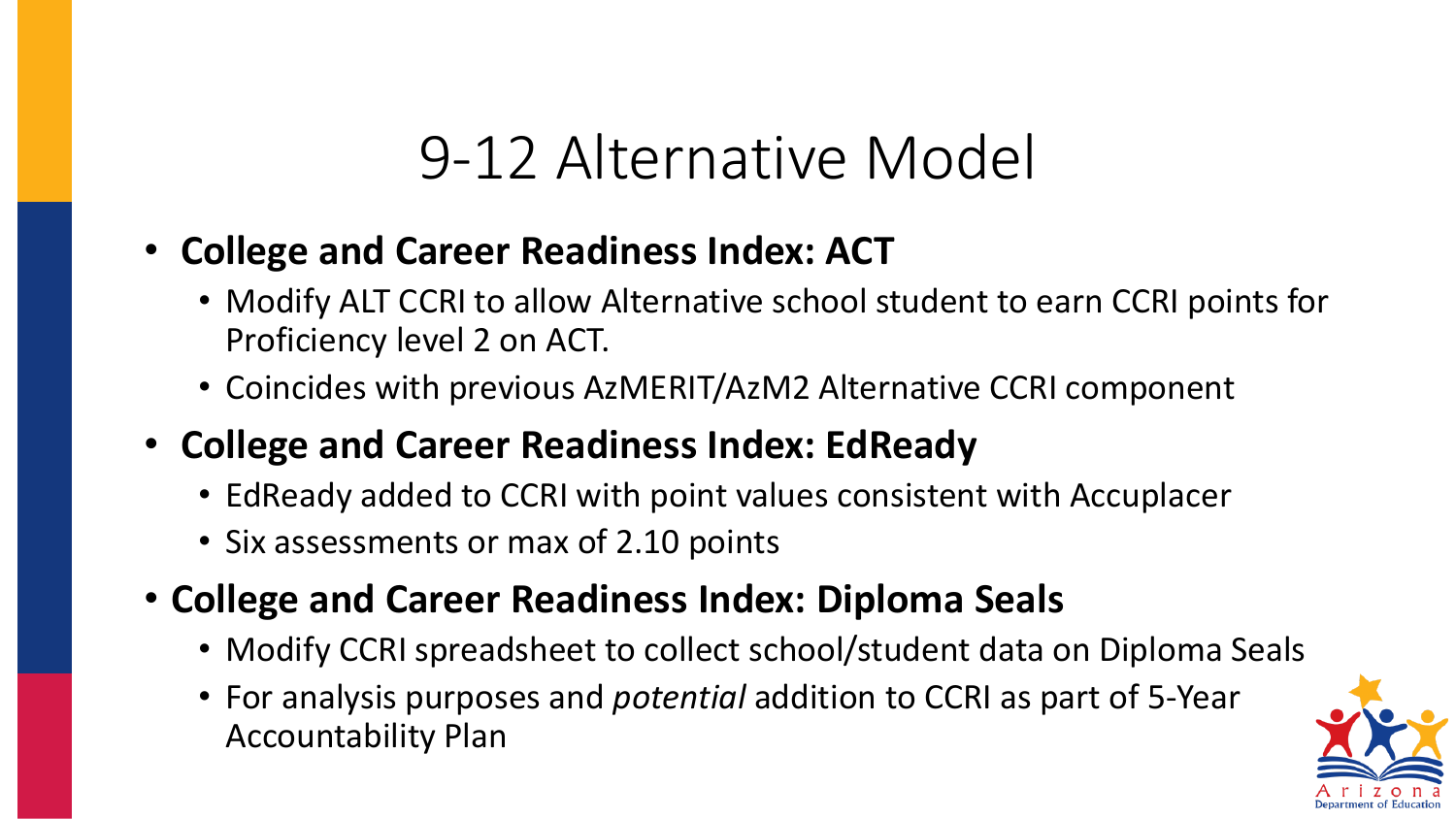## 9-12 Alternative Model

- **College and Career Readiness Index: ACT**
	- Modify ALT CCRI to allow Alternative school student to earn CCRI points for Proficiency level 2 on ACT.
	- Coincides with previous AzMERIT/AzM2 Alternative CCRI component
- **College and Career Readiness Index: EdReady**
	- EdReady added to CCRI with point values consistent with Accuplacer
	- Six assessments or max of 2.10 points
- **College and Career Readiness Index: Diploma Seals**
	- Modify CCRI spreadsheet to collect school/student data on Diploma Seals
	- For analysis purposes and *potential* addition to CCRI as part of 5-Year Accountability Plan

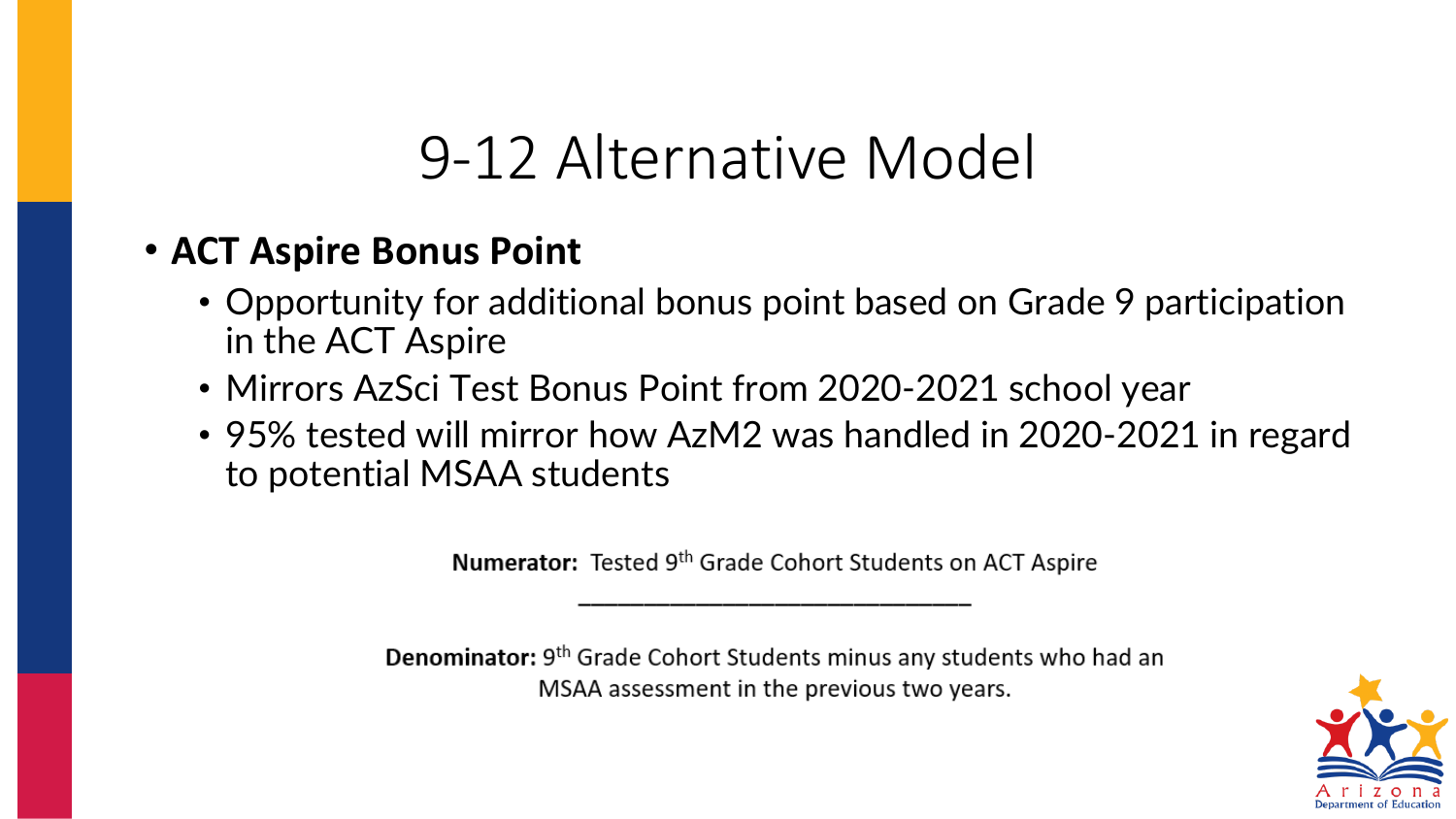## 9-12 Alternative Model

#### • **ACT Aspire Bonus Point**

- Opportunity for additional bonus point based on Grade 9 participation in the ACT Aspire
- Mirrors AzSci Test Bonus Point from 2020-2021 school year
- 95% tested will mirror how AzM2 was handled in 2020-2021 in regard to potential MSAA students

Numerator: Tested 9<sup>th</sup> Grade Cohort Students on ACT Aspire

Denominator: 9<sup>th</sup> Grade Cohort Students minus any students who had an MSAA assessment in the previous two years.

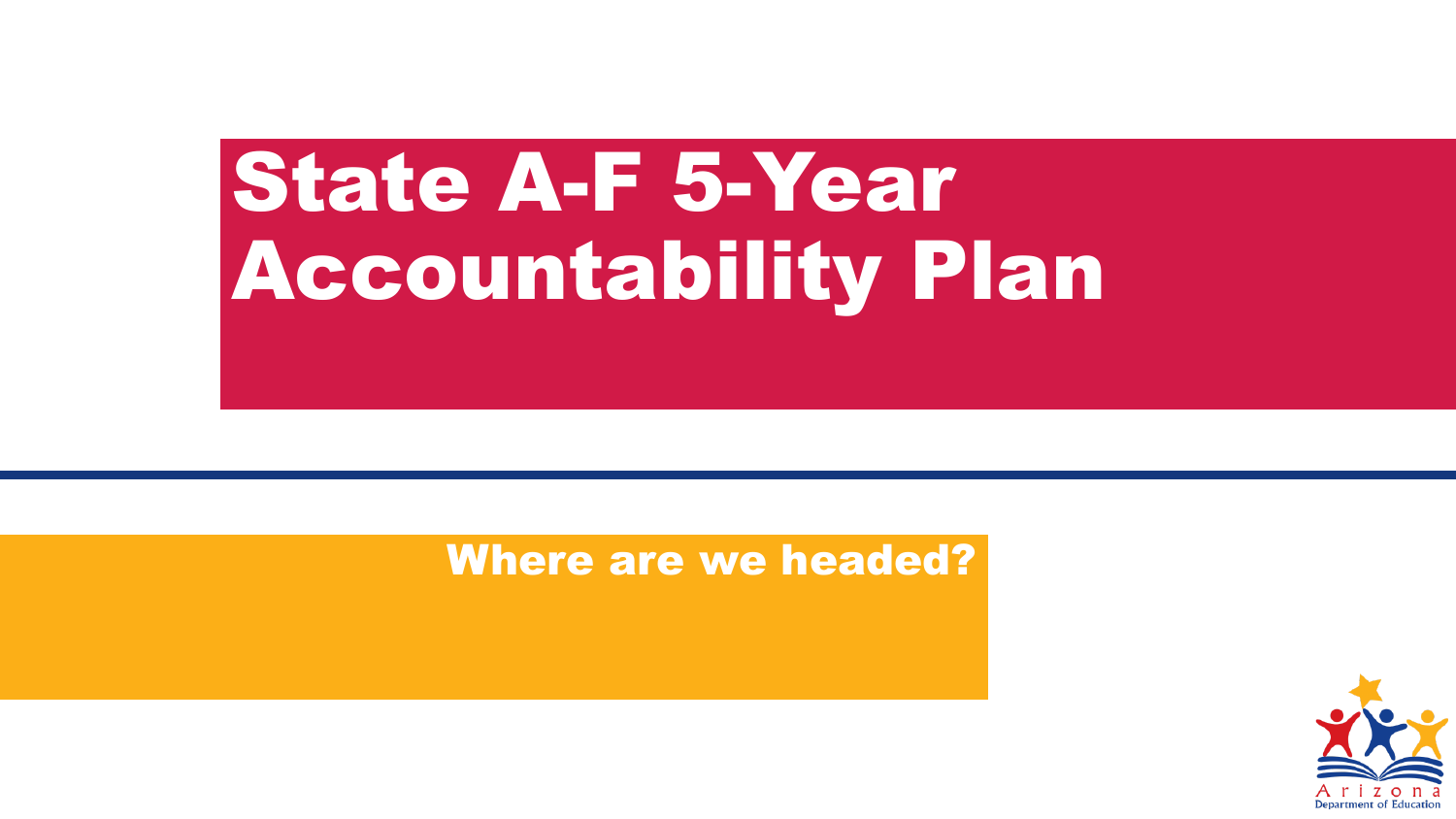# State A-F 5-Year Accountability Plan

#### Where are we headed?

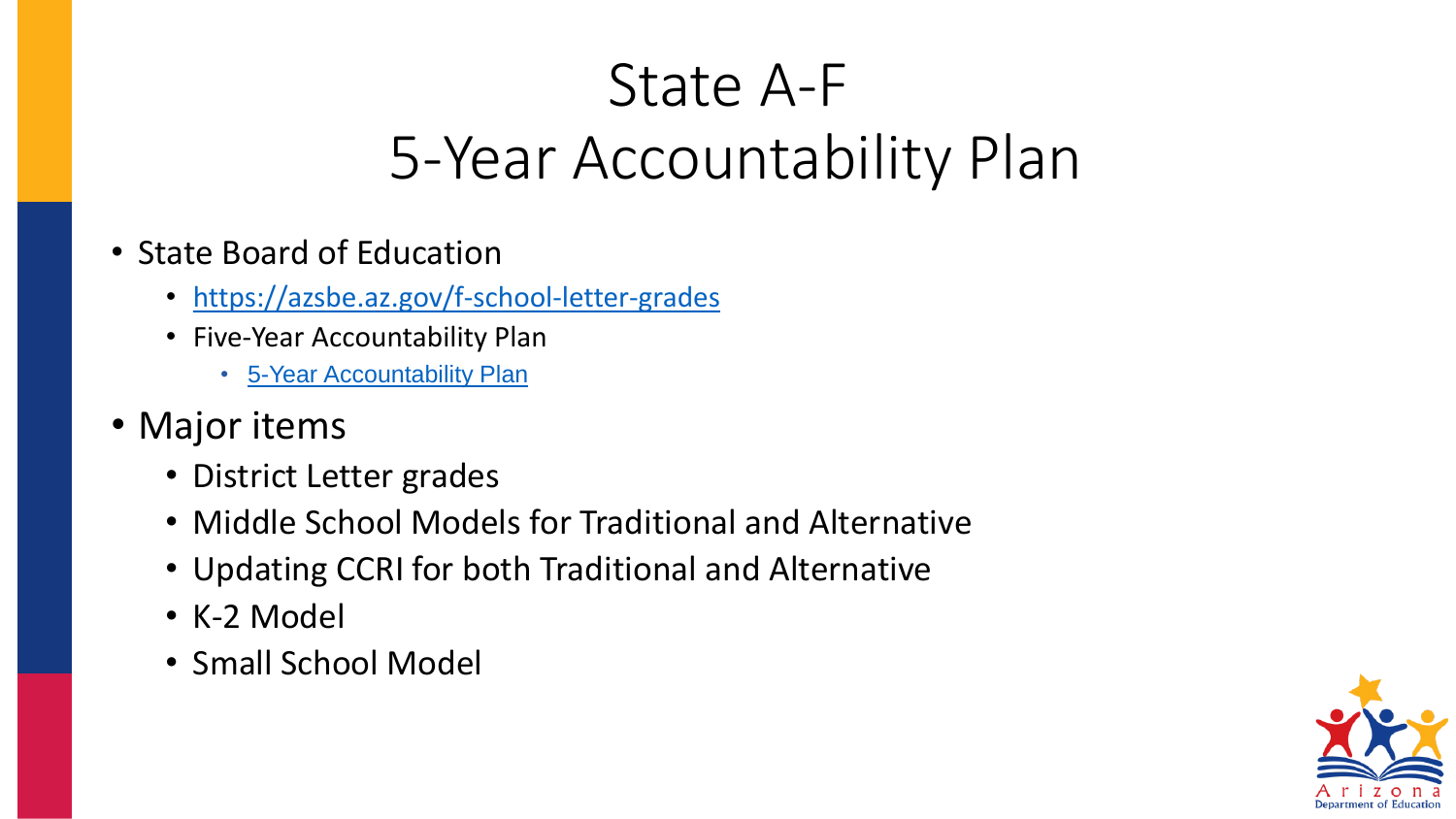## State A-F 5-Year Accountability Plan

- State Board of Education
	- <https://azsbe.az.gov/f-school-letter-grades>
	- Five-Year Accountability Plan
		- [5-Year Accountability Plan](https://azsbe.az.gov/sites/default/files/media/Approved%2012-13-21%20SBE%20Five%20Year%20Accountability%20Plan.pdf)
- Major items
	- District Letter grades
	- Middle School Models for Traditional and Alternative
	- Updating CCRI for both Traditional and Alternative
	- K-2 Model
	- Small School Model

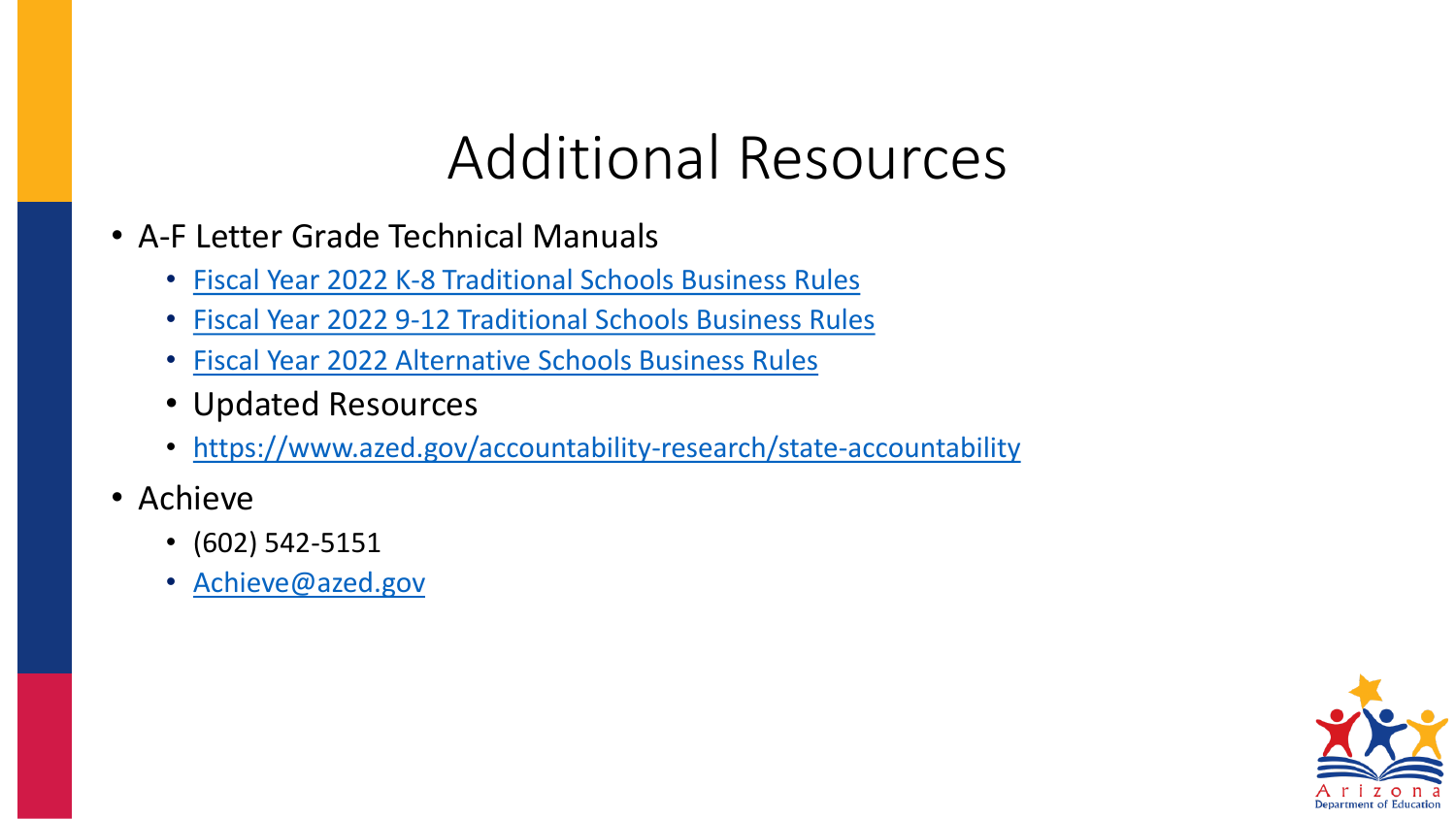## Additional Resources

- A-F Letter Grade Technical Manuals
	- Fiscal Year 2022 [K-8 Traditional Schools Business Rules](https://www.azed.gov/sites/default/files/2022/03/2022%20K-8%20Traditional%20Schools%20Business%20Rules%20v6.pdf)
	- Fiscal Year 2022 [9-12 Traditional Schools Business Rules](https://www.azed.gov/sites/default/files/2022/02/2022%209-12%20Traditional%20Schools%20Business%20Rules%20Draft.pdf)
	- Fiscal Year 2022 [Alternative Schools Business Rules](https://www.azed.gov/sites/default/files/2022/02/2022%20Alternative%20Schools%20Business%20Rules%20Draft.pdf)
	- Updated Resources
	- <https://www.azed.gov/accountability-research/state-accountability>
- Achieve
	- (602) 542-5151
	- [Achieve@azed.gov](mailto:%20Achieve@azed.gov)

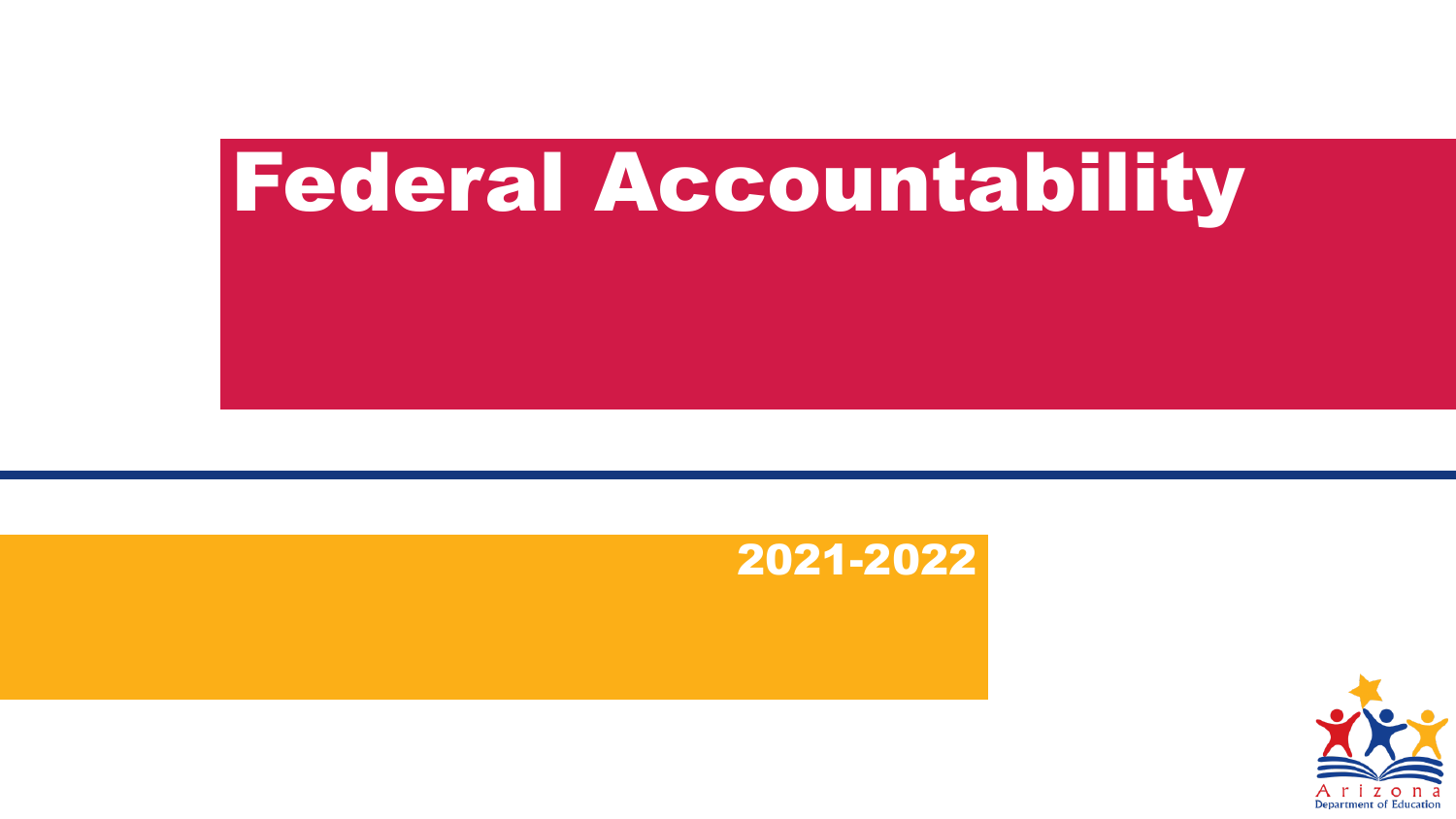# Federal Accountability



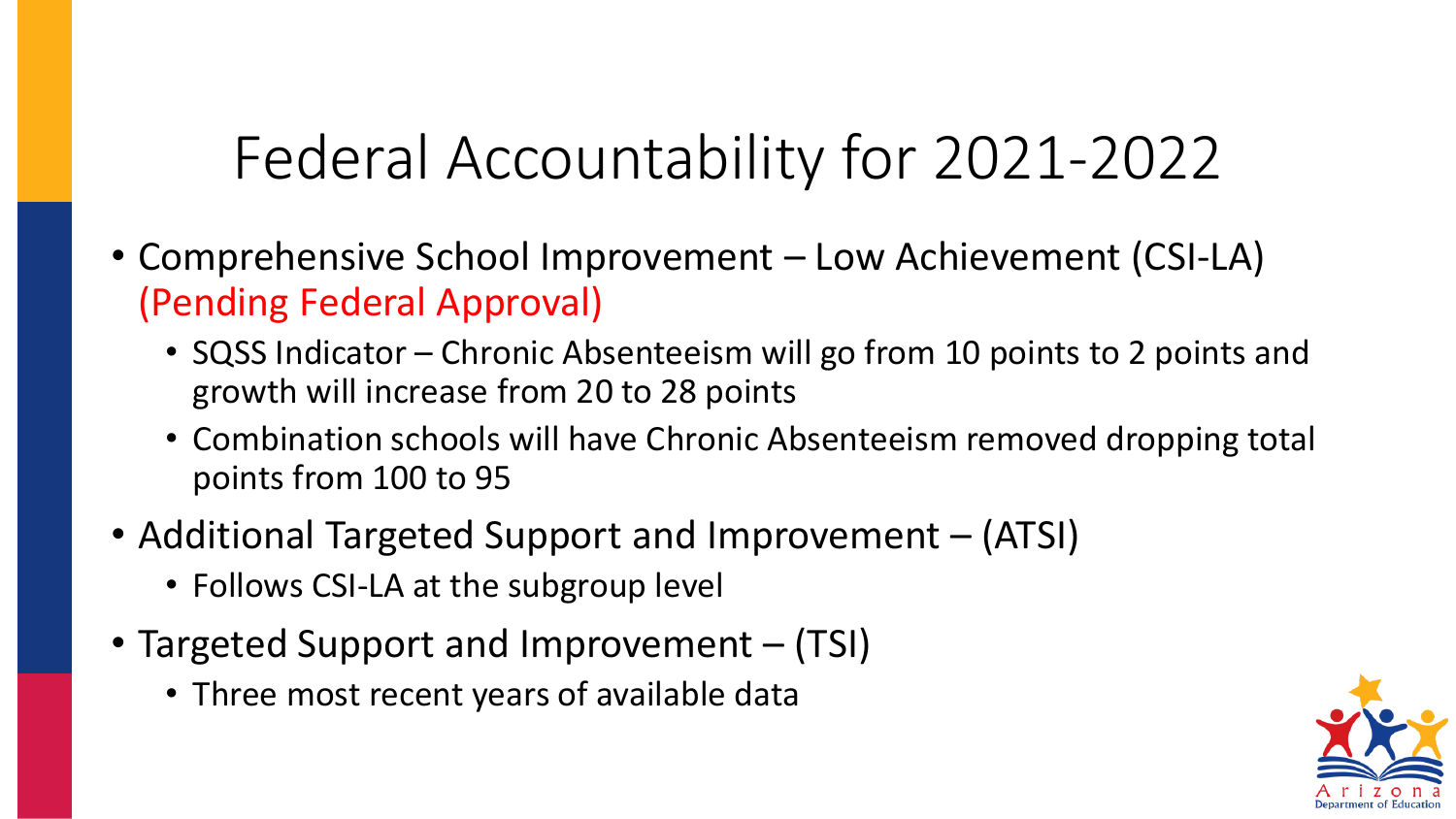## Federal Accountability for 2021-2022

- Comprehensive School Improvement Low Achievement (CSI-LA) (Pending Federal Approval)
	- SQSS Indicator Chronic Absenteeism will go from 10 points to 2 points and growth will increase from 20 to 28 points
	- Combination schools will have Chronic Absenteeism removed dropping total points from 100 to 95
- Additional Targeted Support and Improvement (ATSI)
	- Follows CSI-LA at the subgroup level
- Targeted Support and Improvement (TSI)
	- Three most recent years of available data

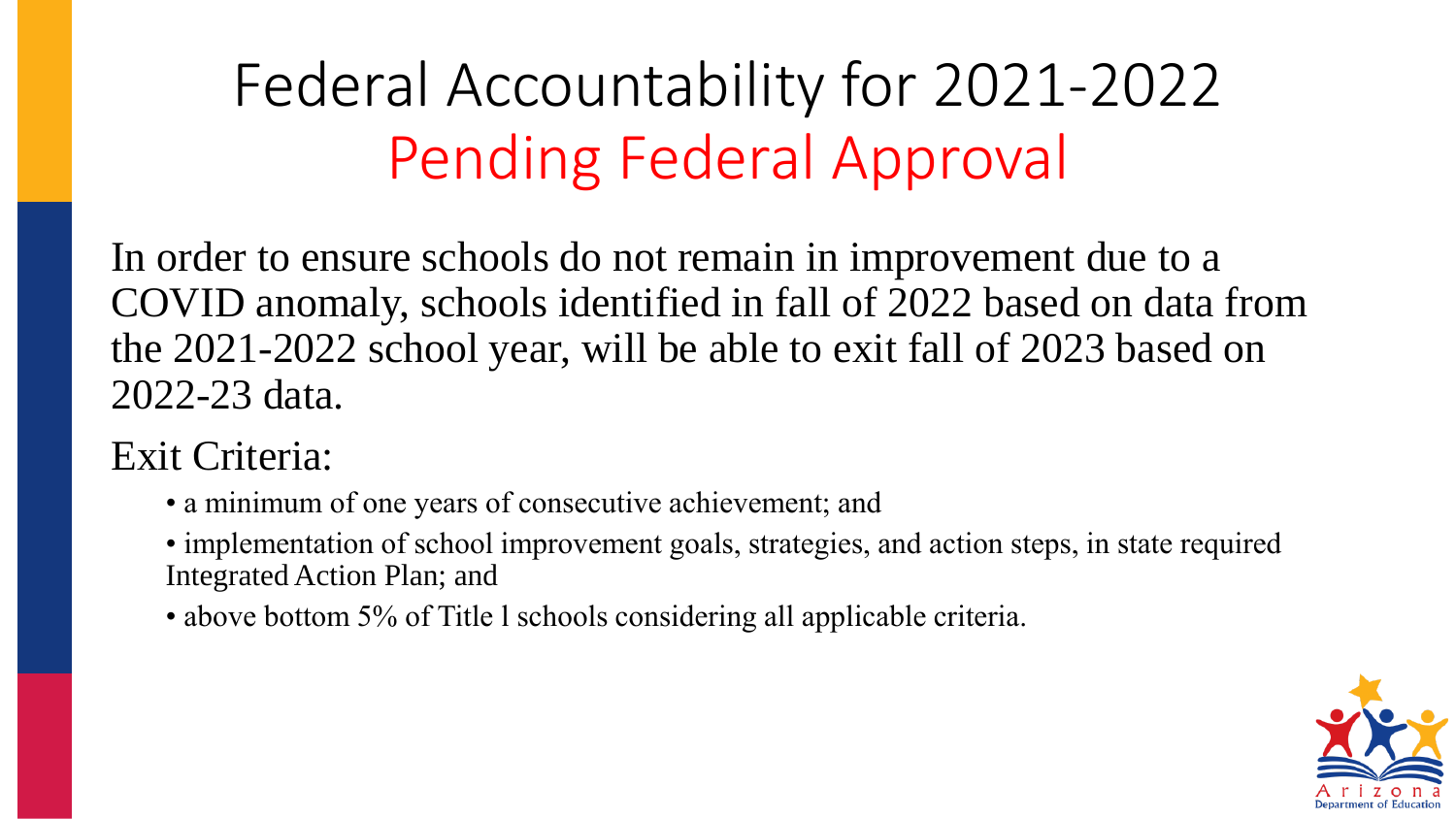## Federal Accountability for 2021-2022 Pending Federal Approval

In order to ensure schools do not remain in improvement due to a COVID anomaly, schools identified in fall of 2022 based on data from the 2021-2022 school year, will be able to exit fall of 2023 based on 2022-23 data.

Exit Criteria:

- a minimum of one years of consecutive achievement; and
- implementation of school improvement goals, strategies, and action steps, in state required Integrated Action Plan; and
- above bottom 5% of Title 1 schools considering all applicable criteria.

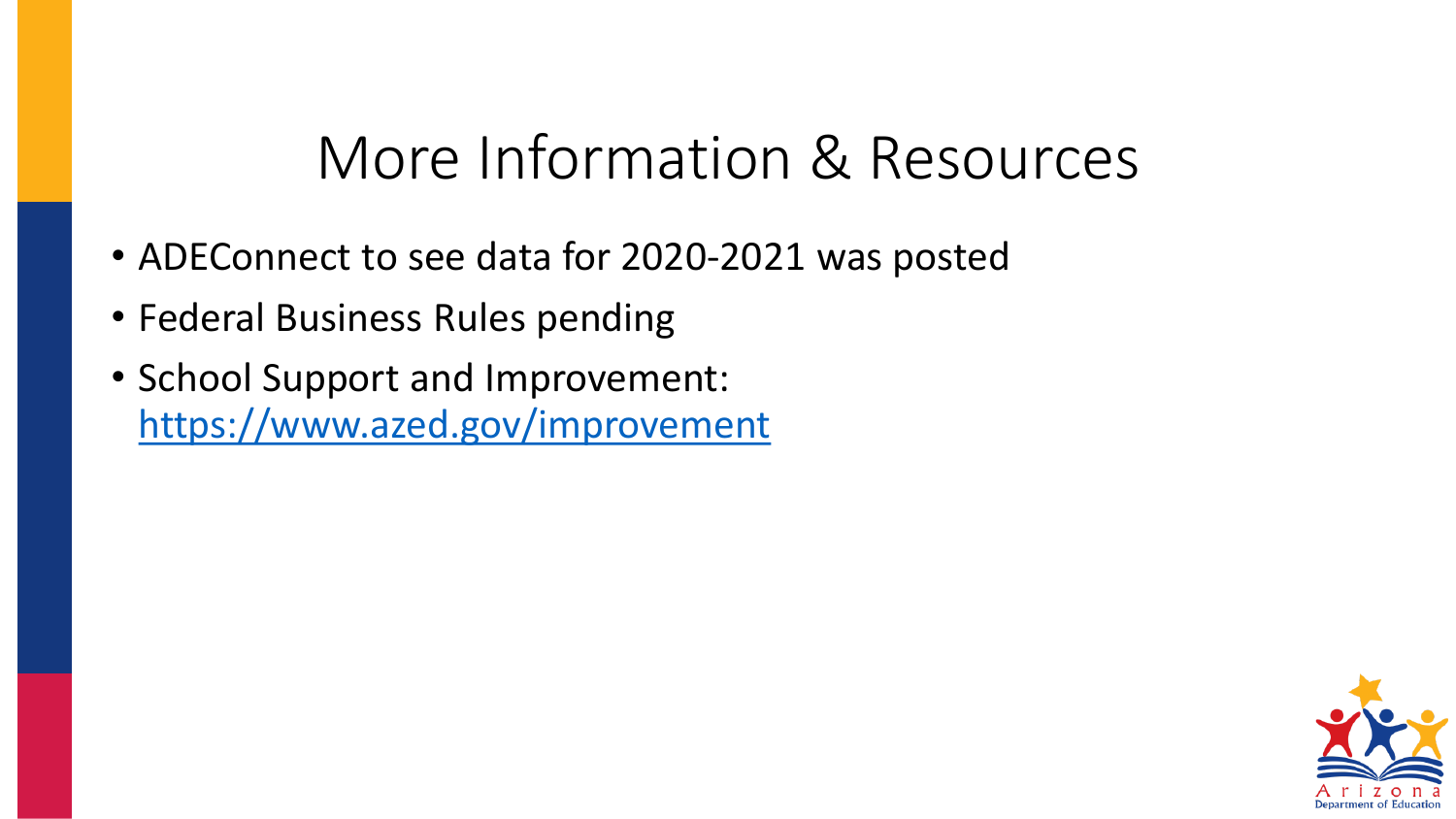## More Information & Resources

- ADEConnect to see data for 2020-2021 was posted
- Federal Business Rules pending
- School Support and Improvement: <https://www.azed.gov/improvement>